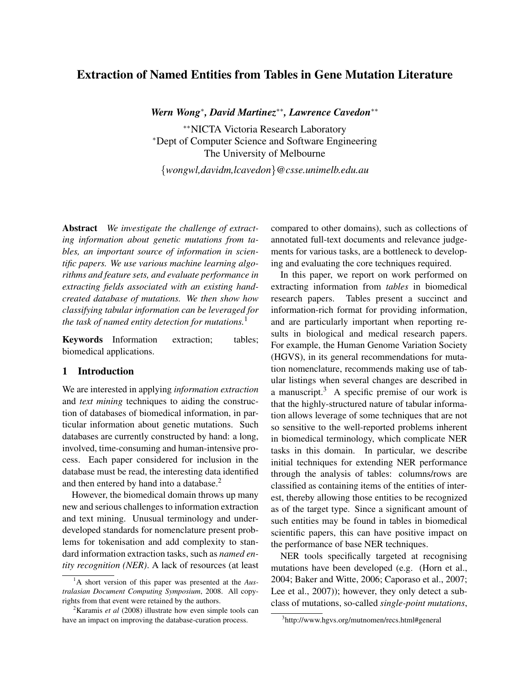# Extraction of Named Entities from Tables in Gene Mutation Literature

*Wern Wong*<sup>∗</sup> *, David Martinez*∗∗*, Lawrence Cavedon*∗∗

∗∗NICTA Victoria Research Laboratory <sup>∗</sup>Dept of Computer Science and Software Engineering The University of Melbourne

{*wongwl,davidm,lcavedon*}*@csse.unimelb.edu.au*

Abstract *We investigate the challenge of extracting information about genetic mutations from tables, an important source of information in scientific papers. We use various machine learning algorithms and feature sets, and evaluate performance in extracting fields associated with an existing handcreated database of mutations. We then show how classifying tabular information can be leveraged for the task of named entity detection for mutations.*<sup>1</sup>

Keywords Information extraction; tables; biomedical applications.

## 1 Introduction

We are interested in applying *information extraction* and *text mining* techniques to aiding the construction of databases of biomedical information, in particular information about genetic mutations. Such databases are currently constructed by hand: a long, involved, time-consuming and human-intensive process. Each paper considered for inclusion in the database must be read, the interesting data identified and then entered by hand into a database.<sup>2</sup>

However, the biomedical domain throws up many new and serious challenges to information extraction and text mining. Unusual terminology and underdeveloped standards for nomenclature present problems for tokenisation and add complexity to standard information extraction tasks, such as *named entity recognition (NER)*. A lack of resources (at least compared to other domains), such as collections of annotated full-text documents and relevance judgements for various tasks, are a bottleneck to developing and evaluating the core techniques required.

In this paper, we report on work performed on extracting information from *tables* in biomedical research papers. Tables present a succinct and information-rich format for providing information, and are particularly important when reporting results in biological and medical research papers. For example, the Human Genome Variation Society (HGVS), in its general recommendations for mutation nomenclature, recommends making use of tabular listings when several changes are described in a manuscript. $3$  A specific premise of our work is that the highly-structured nature of tabular information allows leverage of some techniques that are not so sensitive to the well-reported problems inherent in biomedical terminology, which complicate NER tasks in this domain. In particular, we describe initial techniques for extending NER performance through the analysis of tables: columns/rows are classified as containing items of the entities of interest, thereby allowing those entities to be recognized as of the target type. Since a significant amount of such entities may be found in tables in biomedical scientific papers, this can have positive impact on the performance of base NER techniques.

NER tools specifically targeted at recognising mutations have been developed (e.g. (Horn et al., 2004; Baker and Witte, 2006; Caporaso et al., 2007; Lee et al., 2007)); however, they only detect a subclass of mutations, so-called *single-point mutations*,

<sup>1</sup>A short version of this paper was presented at the *Australasian Document Computing Symposium*, 2008. All copyrights from that event were retained by the authors.

<sup>2</sup>Karamis *et al* (2008) illustrate how even simple tools can have an impact on improving the database-curation process.

<sup>3</sup> http://www.hgvs.org/mutnomen/recs.html#general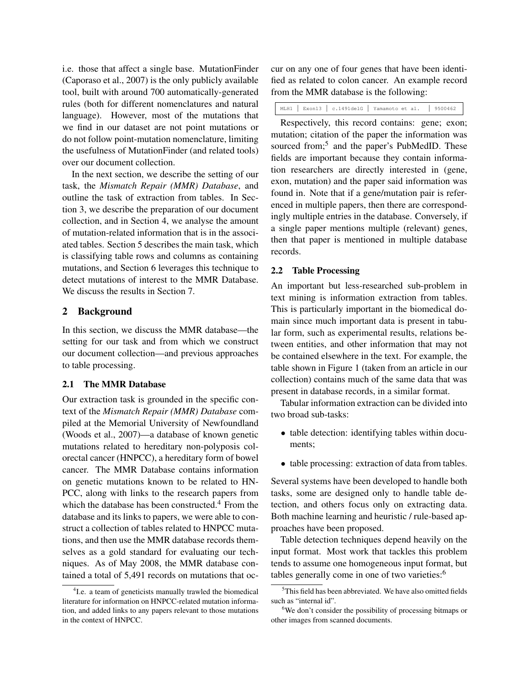i.e. those that affect a single base. MutationFinder (Caporaso et al., 2007) is the only publicly available tool, built with around 700 automatically-generated rules (both for different nomenclatures and natural language). However, most of the mutations that we find in our dataset are not point mutations or do not follow point-mutation nomenclature, limiting the usefulness of MutationFinder (and related tools) over our document collection.

In the next section, we describe the setting of our task, the *Mismatch Repair (MMR) Database*, and outline the task of extraction from tables. In Section 3, we describe the preparation of our document collection, and in Section 4, we analyse the amount of mutation-related information that is in the associated tables. Section 5 describes the main task, which is classifying table rows and columns as containing mutations, and Section 6 leverages this technique to detect mutations of interest to the MMR Database. We discuss the results in Section 7.

## 2 Background

In this section, we discuss the MMR database—the setting for our task and from which we construct our document collection—and previous approaches to table processing.

## 2.1 The MMR Database

Our extraction task is grounded in the specific context of the *Mismatch Repair (MMR) Database* compiled at the Memorial University of Newfoundland (Woods et al., 2007)—a database of known genetic mutations related to hereditary non-polyposis colorectal cancer (HNPCC), a hereditary form of bowel cancer. The MMR Database contains information on genetic mutations known to be related to HN-PCC, along with links to the research papers from which the database has been constructed. $4$  From the database and its links to papers, we were able to construct a collection of tables related to HNPCC mutations, and then use the MMR database records themselves as a gold standard for evaluating our techniques. As of May 2008, the MMR database contained a total of 5,491 records on mutations that occur on any one of four genes that have been identified as related to colon cancer. An example record from the MMR database is the following:

MLH1 | Exon13 | c.1491delG | Yamamoto et al. | 9500462

Respectively, this record contains: gene; exon; mutation; citation of the paper the information was sourced from;<sup>5</sup> and the paper's PubMedID. These fields are important because they contain information researchers are directly interested in (gene, exon, mutation) and the paper said information was found in. Note that if a gene/mutation pair is referenced in multiple papers, then there are correspondingly multiple entries in the database. Conversely, if a single paper mentions multiple (relevant) genes, then that paper is mentioned in multiple database records.

#### 2.2 Table Processing

An important but less-researched sub-problem in text mining is information extraction from tables. This is particularly important in the biomedical domain since much important data is present in tabular form, such as experimental results, relations between entities, and other information that may not be contained elsewhere in the text. For example, the table shown in Figure 1 (taken from an article in our collection) contains much of the same data that was present in database records, in a similar format.

Tabular information extraction can be divided into two broad sub-tasks:

- table detection: identifying tables within documents;
- table processing: extraction of data from tables.

Several systems have been developed to handle both tasks, some are designed only to handle table detection, and others focus only on extracting data. Both machine learning and heuristic / rule-based approaches have been proposed.

Table detection techniques depend heavily on the input format. Most work that tackles this problem tends to assume one homogeneous input format, but tables generally come in one of two varieties:<sup>6</sup>

<sup>&</sup>lt;sup>4</sup> I.e. a team of geneticists manually trawled the biomedical literature for information on HNPCC-related mutation information, and added links to any papers relevant to those mutations in the context of HNPCC.

 $5$ This field has been abbreviated. We have also omitted fields such as "internal id".

<sup>&</sup>lt;sup>6</sup>We don't consider the possibility of processing bitmaps or other images from scanned documents.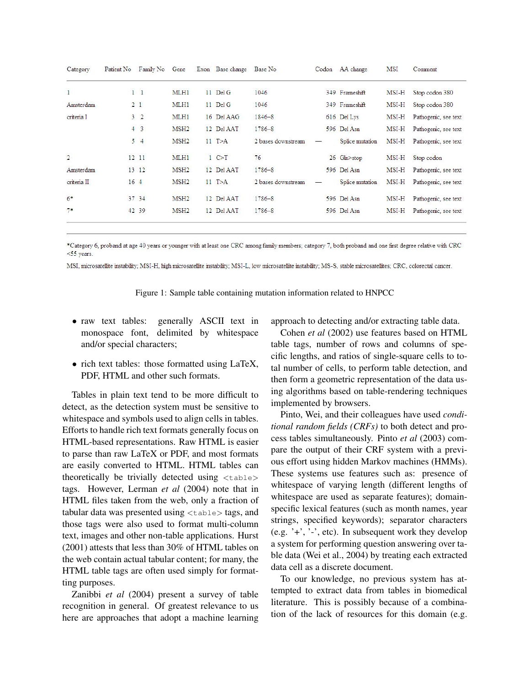| Category       | Patient No | Family No       | Gene             | Exon Base change | Base No            | Codon | AA change       | <b>MSI</b> | Comment              |
|----------------|------------|-----------------|------------------|------------------|--------------------|-------|-----------------|------------|----------------------|
| $\overline{1}$ |            | $1\quad1$       | MLH1             | 11 Del G         | 1046               |       | 349 Frameshift  | MSI-H      | Stop codon 380       |
| Amsterdam      |            | 2 <sub>1</sub>  | MLH1             | 11 Del G         | 1046               |       | 349 Frameshift  | MSI-H      | Stop codon 380       |
| criteria I     |            | 3 <sup>2</sup>  | MLH <sub>1</sub> | 16 Del AAG       | $1846 - 8$         |       | 616 Del Lys     | MSI-H      | Pathogenic, see text |
|                |            | $4 \quad 3$     | MSH <sub>2</sub> | 12 Del AAT       | 1786-8             |       | 596 Del Asn     | MSI-H      | Pathogenic, see text |
|                | 5          | $\overline{4}$  | MSH2             | $11$ T $>A$      | 2 bases downstream |       | Splice mutation | MSI-H      | Pathogenic, see text |
| $\overline{2}$ |            | 12 11           | MLH1             | 1 C > T          | 76                 |       | 26 Gln>stop     | MSI-H      | Stop codon           |
| Amsterdam      |            | 13 12           | MSH <sub>2</sub> | 12 Del AAT       | $1786 - 8$         |       | 596 Del Asn     | MSI-H      | Pathogenic, see text |
| criteria II    |            | 16 <sub>4</sub> | MSH2             | 11 T>A           | 2 bases downstream |       | Splice mutation | MSI-H      | Pathogenic, see text |
| $6*$           |            | 37 34           | MSH <sub>2</sub> | 12 Del AAT       | 1786-8             |       | 596 Del Asn     | MSI-H      | Pathogenic, see text |
| $7*$           | 42         | 39              | MSH <sub>2</sub> | 12 Del AAT       | $1786 - 8$         |       | 596 Del Asn     | MSI-H      | Pathogenic, see text |
|                |            |                 |                  |                  |                    |       |                 |            |                      |

\*Category 6, proband at age 40 years or younger with at least one CRC among family members; category 7, both proband and one first degree relative with CRC <55 years.

MSI, microsatellite instability; MSI-H, high microsatellite instability; MSI-L, low microsatellite instability; MS-S, stable microsatellites; CRC, colorectal cancer.

Figure 1: Sample table containing mutation information related to HNPCC

- raw text tables: generally ASCII text in monospace font, delimited by whitespace and/or special characters;
- rich text tables: those formatted using LaTeX, PDF, HTML and other such formats.

Tables in plain text tend to be more difficult to detect, as the detection system must be sensitive to whitespace and symbols used to align cells in tables. Efforts to handle rich text formats generally focus on HTML-based representations. Raw HTML is easier to parse than raw LaTeX or PDF, and most formats are easily converted to HTML. HTML tables can theoretically be trivially detected using  $\langle$ table $\rangle$ tags. However, Lerman *et al* (2004) note that in HTML files taken from the web, only a fraction of tabular data was presented using  $\lt$ table $>$  tags, and those tags were also used to format multi-column text, images and other non-table applications. Hurst (2001) attests that less than 30% of HTML tables on the web contain actual tabular content; for many, the HTML table tags are often used simply for formatting purposes.

Zanibbi *et al* (2004) present a survey of table recognition in general. Of greatest relevance to us here are approaches that adopt a machine learning

approach to detecting and/or extracting table data.

Cohen *et al* (2002) use features based on HTML table tags, number of rows and columns of specific lengths, and ratios of single-square cells to total number of cells, to perform table detection, and then form a geometric representation of the data using algorithms based on table-rendering techniques implemented by browsers.

Pinto, Wei, and their colleagues have used *conditional random fields (CRFs)* to both detect and process tables simultaneously. Pinto *et al* (2003) compare the output of their CRF system with a previous effort using hidden Markov machines (HMMs). These systems use features such as: presence of whitespace of varying length (different lengths of whitespace are used as separate features); domainspecific lexical features (such as month names, year strings, specified keywords); separator characters (e.g. '+', '-', etc). In subsequent work they develop a system for performing question answering over table data (Wei et al., 2004) by treating each extracted data cell as a discrete document.

To our knowledge, no previous system has attempted to extract data from tables in biomedical literature. This is possibly because of a combination of the lack of resources for this domain (e.g.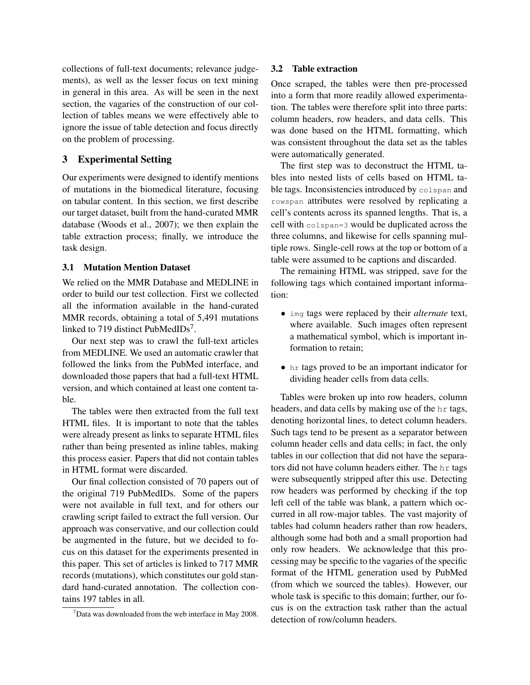collections of full-text documents; relevance judgements), as well as the lesser focus on text mining in general in this area. As will be seen in the next section, the vagaries of the construction of our collection of tables means we were effectively able to ignore the issue of table detection and focus directly on the problem of processing.

## 3 Experimental Setting

Our experiments were designed to identify mentions of mutations in the biomedical literature, focusing on tabular content. In this section, we first describe our target dataset, built from the hand-curated MMR database (Woods et al., 2007); we then explain the table extraction process; finally, we introduce the task design.

## 3.1 Mutation Mention Dataset

We relied on the MMR Database and MEDLINE in order to build our test collection. First we collected all the information available in the hand-curated MMR records, obtaining a total of 5,491 mutations linked to 719 distinct PubMedIDs<sup>7</sup>.

Our next step was to crawl the full-text articles from MEDLINE. We used an automatic crawler that followed the links from the PubMed interface, and downloaded those papers that had a full-text HTML version, and which contained at least one content table.

The tables were then extracted from the full text HTML files. It is important to note that the tables were already present as links to separate HTML files rather than being presented as inline tables, making this process easier. Papers that did not contain tables in HTML format were discarded.

Our final collection consisted of 70 papers out of the original 719 PubMedIDs. Some of the papers were not available in full text, and for others our crawling script failed to extract the full version. Our approach was conservative, and our collection could be augmented in the future, but we decided to focus on this dataset for the experiments presented in this paper. This set of articles is linked to 717 MMR records (mutations), which constitutes our gold standard hand-curated annotation. The collection contains 197 tables in all.

## 3.2 Table extraction

Once scraped, the tables were then pre-processed into a form that more readily allowed experimentation. The tables were therefore split into three parts: column headers, row headers, and data cells. This was done based on the HTML formatting, which was consistent throughout the data set as the tables were automatically generated.

The first step was to deconstruct the HTML tables into nested lists of cells based on HTML table tags. Inconsistencies introduced by colspan and rowspan attributes were resolved by replicating a cell's contents across its spanned lengths. That is, a cell with colspan=3 would be duplicated across the three columns, and likewise for cells spanning multiple rows. Single-cell rows at the top or bottom of a table were assumed to be captions and discarded.

The remaining HTML was stripped, save for the following tags which contained important information:

- img tags were replaced by their *alternate* text, where available. Such images often represent a mathematical symbol, which is important information to retain;
- hr tags proved to be an important indicator for dividing header cells from data cells.

Tables were broken up into row headers, column headers, and data cells by making use of the hr tags, denoting horizontal lines, to detect column headers. Such tags tend to be present as a separator between column header cells and data cells; in fact, the only tables in our collection that did not have the separators did not have column headers either. The hr tags were subsequently stripped after this use. Detecting row headers was performed by checking if the top left cell of the table was blank, a pattern which occurred in all row-major tables. The vast majority of tables had column headers rather than row headers, although some had both and a small proportion had only row headers. We acknowledge that this processing may be specific to the vagaries of the specific format of the HTML generation used by PubMed (from which we sourced the tables). However, our whole task is specific to this domain; further, our focus is on the extraction task rather than the actual detection of row/column headers.

 $7$ Data was downloaded from the web interface in May 2008.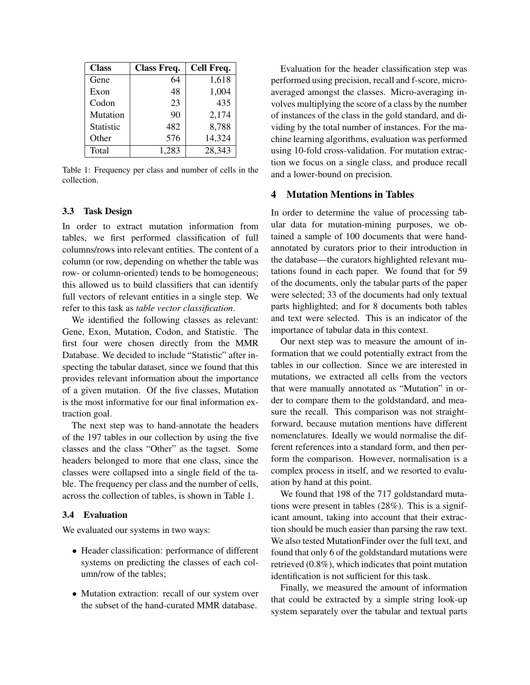| <b>Class</b> | Class Freq. | Cell Freq. |
|--------------|-------------|------------|
| Gene         | 64          | 1,618      |
| Exon         | 48          | 1,004      |
| Codon        | 23          | 435        |
| Mutation     | 90          | 2,174      |
| Statistic    | 482         | 8,788      |
| Other        | 576         | 14,324     |
| Total        | 1,283       | 28,343     |

Table 1: Frequency per class and number of cells in the collection.

## 3.3 Task Design

In order to extract mutation information from tables, we first performed classification of full columns/rows into relevant entities. The content of a column (or row, depending on whether the table was row- or column-oriented) tends to be homogeneous; this allowed us to build classifiers that can identify full vectors of relevant entities in a single step. We refer to this task as *table vector classification*.

We identified the following classes as relevant: Gene, Exon, Mutation, Codon, and Statistic. The first four were chosen directly from the MMR Database. We decided to include "Statistic" after inspecting the tabular dataset, since we found that this provides relevant information about the importance of a given mutation. Of the five classes, Mutation is the most informative for our final information extraction goal.

The next step was to hand-annotate the headers of the 197 tables in our collection by using the five classes and the class "Other" as the tagset. Some headers belonged to more that one class, since the classes were collapsed into a single field of the table. The frequency per class and the number of cells, across the collection of tables, is shown in Table 1.

#### 3.4 Evaluation

We evaluated our systems in two ways:

- Header classification: performance of different systems on predicting the classes of each column/row of the tables;
- Mutation extraction: recall of our system over the subset of the hand-curated MMR database.

Evaluation for the header classification step was performed using precision, recall and f-score, microaveraged amongst the classes. Micro-averaging involves multiplying the score of a class by the number of instances of the class in the gold standard, and dividing by the total number of instances. For the machine learning algorithms, evaluation was performed using 10-fold cross-validation. For mutation extraction we focus on a single class, and produce recall and a lower-bound on precision.

## 4 Mutation Mentions in Tables

In order to determine the value of processing tabular data for mutation-mining purposes, we obtained a sample of 100 documents that were handannotated by curators prior to their introduction in the database—the curators highlighted relevant mutations found in each paper. We found that for 59 of the documents, only the tabular parts of the paper were selected; 33 of the documents had only textual parts highlighted; and for 8 documents both tables and text were selected. This is an indicator of the importance of tabular data in this context.

Our next step was to measure the amount of information that we could potentially extract from the tables in our collection. Since we are interested in mutations, we extracted all cells from the vectors that were manually annotated as "Mutation" in order to compare them to the goldstandard, and measure the recall. This comparison was not straightforward, because mutation mentions have different nomenclatures. Ideally we would normalise the different references into a standard form, and then perform the comparison. However, normalisation is a complex process in itself, and we resorted to evaluation by hand at this point.

We found that 198 of the 717 goldstandard mutations were present in tables (28%). This is a significant amount, taking into account that their extraction should be much easier than parsing the raw text. We also tested MutationFinder over the full text, and found that only 6 of the goldstandard mutations were retrieved (0.8%), which indicates that point mutation identification is not sufficient for this task.

Finally, we measured the amount of information that could be extracted by a simple string look-up system separately over the tabular and textual parts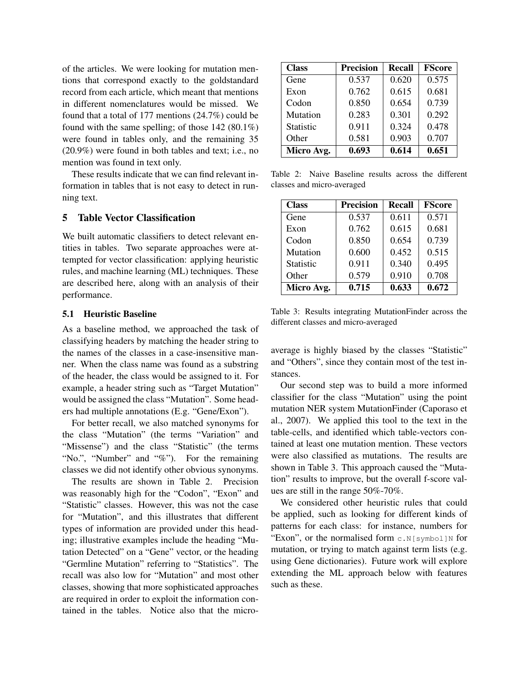of the articles. We were looking for mutation mentions that correspond exactly to the goldstandard record from each article, which meant that mentions in different nomenclatures would be missed. We found that a total of 177 mentions (24.7%) could be found with the same spelling; of those 142 (80.1%) were found in tables only, and the remaining 35 (20.9%) were found in both tables and text; i.e., no mention was found in text only.

These results indicate that we can find relevant information in tables that is not easy to detect in running text.

## 5 Table Vector Classification

We built automatic classifiers to detect relevant entities in tables. Two separate approaches were attempted for vector classification: applying heuristic rules, and machine learning (ML) techniques. These are described here, along with an analysis of their performance.

## 5.1 Heuristic Baseline

As a baseline method, we approached the task of classifying headers by matching the header string to the names of the classes in a case-insensitive manner. When the class name was found as a substring of the header, the class would be assigned to it. For example, a header string such as "Target Mutation" would be assigned the class "Mutation". Some headers had multiple annotations (E.g. "Gene/Exon").

For better recall, we also matched synonyms for the class "Mutation" (the terms "Variation" and "Missense") and the class "Statistic" (the terms "No.", "Number" and "%"). For the remaining classes we did not identify other obvious synonyms.

The results are shown in Table 2. Precision was reasonably high for the "Codon", "Exon" and "Statistic" classes. However, this was not the case for "Mutation", and this illustrates that different types of information are provided under this heading; illustrative examples include the heading "Mutation Detected" on a "Gene" vector, or the heading "Germline Mutation" referring to "Statistics". The recall was also low for "Mutation" and most other classes, showing that more sophisticated approaches are required in order to exploit the information contained in the tables. Notice also that the micro-

| <b>Class</b>     | <b>Precision</b> | <b>Recall</b> | <b>FScore</b> |
|------------------|------------------|---------------|---------------|
| Gene             | 0.537            | 0.620         | 0.575         |
| Exon             | 0.762            | 0.615         | 0.681         |
| Codon            | 0.850            | 0.654         | 0.739         |
| Mutation         | 0.283            | 0.301         | 0.292         |
| <b>Statistic</b> | 0.911            | 0.324         | 0.478         |
| Other            | 0.581            | 0.903         | 0.707         |
| Micro Avg.       | 0.693            | 0.614         | 0.651         |

Table 2: Naive Baseline results across the different classes and micro-averaged

| <b>Class</b>     | <b>Precision</b> | <b>Recall</b> | <b>FScore</b> |
|------------------|------------------|---------------|---------------|
| Gene             | 0.537            | 0.611         | 0.571         |
| Exon             | 0.762            | 0.615         | 0.681         |
| Codon            | 0.850            | 0.654         | 0.739         |
| Mutation         | 0.600            | 0.452         | 0.515         |
| <b>Statistic</b> | 0.911            | 0.340         | 0.495         |
| Other            | 0.579            | 0.910         | 0.708         |
| Micro Avg.       | 0.715            | 0.633         | 0.672         |

Table 3: Results integrating MutationFinder across the different classes and micro-averaged

average is highly biased by the classes "Statistic" and "Others", since they contain most of the test instances.

Our second step was to build a more informed classifier for the class "Mutation" using the point mutation NER system MutationFinder (Caporaso et al., 2007). We applied this tool to the text in the table-cells, and identified which table-vectors contained at least one mutation mention. These vectors were also classified as mutations. The results are shown in Table 3. This approach caused the "Mutation" results to improve, but the overall f-score values are still in the range 50%-70%.

We considered other heuristic rules that could be applied, such as looking for different kinds of patterns for each class: for instance, numbers for "Exon", or the normalised form  $c.N[symbol]N$  for mutation, or trying to match against term lists (e.g. using Gene dictionaries). Future work will explore extending the ML approach below with features such as these.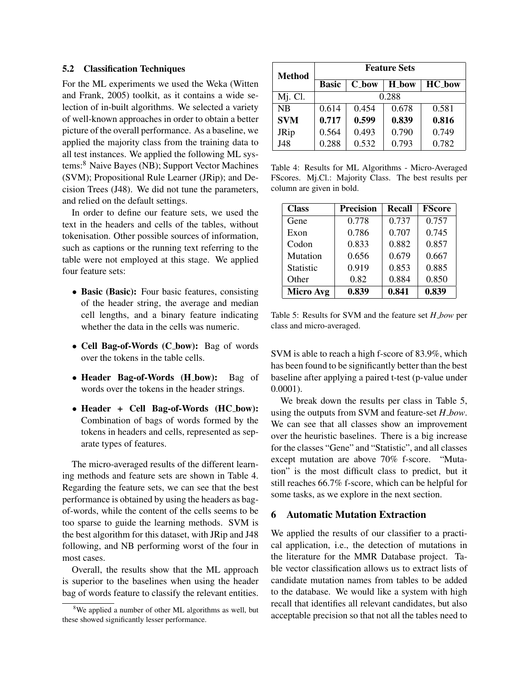### 5.2 Classification Techniques

For the ML experiments we used the Weka (Witten and Frank, 2005) toolkit, as it contains a wide selection of in-built algorithms. We selected a variety of well-known approaches in order to obtain a better picture of the overall performance. As a baseline, we applied the majority class from the training data to all test instances. We applied the following ML systems:<sup>8</sup> Naive Bayes (NB); Support Vector Machines (SVM); Propositional Rule Learner (JRip); and Decision Trees (J48). We did not tune the parameters, and relied on the default settings.

In order to define our feature sets, we used the text in the headers and cells of the tables, without tokenisation. Other possible sources of information, such as captions or the running text referring to the table were not employed at this stage. We applied four feature sets:

- Basic (Basic): Four basic features, consisting of the header string, the average and median cell lengths, and a binary feature indicating whether the data in the cells was numeric.
- Cell Bag-of-Words (C\_bow): Bag of words over the tokens in the table cells.
- Header Bag-of-Words (H\_bow): Bag of words over the tokens in the header strings.
- Header + Cell Bag-of-Words (HC bow): Combination of bags of words formed by the tokens in headers and cells, represented as separate types of features.

The micro-averaged results of the different learning methods and feature sets are shown in Table 4. Regarding the feature sets, we can see that the best performance is obtained by using the headers as bagof-words, while the content of the cells seems to be too sparse to guide the learning methods. SVM is the best algorithm for this dataset, with JRip and J48 following, and NB performing worst of the four in most cases.

Overall, the results show that the ML approach is superior to the baselines when using the header bag of words feature to classify the relevant entities.

| <b>Method</b> | <b>Feature Sets</b> |              |       |               |  |  |
|---------------|---------------------|--------------|-------|---------------|--|--|
|               | <b>Basic</b>        | <b>C_bow</b> | H bow | <b>HC_bow</b> |  |  |
| $Mi$ . Cl.    | 0.288               |              |       |               |  |  |
| <b>NB</b>     | 0.614               | 0.454        | 0.678 | 0.581         |  |  |
| <b>SVM</b>    | 0.717               | 0.599        | 0.839 | 0.816         |  |  |
| JRip          | 0.564               | 0.493        | 0.790 | 0.749         |  |  |
| J48           | 0.288               | 0.532        | 0.793 | 0.782         |  |  |

Table 4: Results for ML Algorithms - Micro-Averaged FScores. Mj.Cl.: Majority Class. The best results per column are given in bold.

| <b>Class</b>     | <b>Precision</b> | <b>Recall</b> | <b>FScore</b> |
|------------------|------------------|---------------|---------------|
| Gene             | 0.778            | 0.737         | 0.757         |
| Exon             | 0.786            | 0.707         | 0.745         |
| Codon            | 0.833            | 0.882         | 0.857         |
| Mutation         | 0.656            | 0.679         | 0.667         |
| <b>Statistic</b> | 0.919            | 0.853         | 0.885         |
| Other            | 0.82             | 0.884         | 0.850         |
| <b>Micro Avg</b> | 0.839            | 0.841         | 0.839         |

Table 5: Results for SVM and the feature set *H bow* per class and micro-averaged.

SVM is able to reach a high f-score of 83.9%, which has been found to be significantly better than the best baseline after applying a paired t-test (p-value under 0.0001).

We break down the results per class in Table 5, using the outputs from SVM and feature-set *H bow*. We can see that all classes show an improvement over the heuristic baselines. There is a big increase for the classes "Gene" and "Statistic", and all classes except mutation are above 70% f-score. "Mutation" is the most difficult class to predict, but it still reaches 66.7% f-score, which can be helpful for some tasks, as we explore in the next section.

## 6 Automatic Mutation Extraction

We applied the results of our classifier to a practical application, i.e., the detection of mutations in the literature for the MMR Database project. Table vector classification allows us to extract lists of candidate mutation names from tables to be added to the database. We would like a system with high recall that identifies all relevant candidates, but also acceptable precision so that not all the tables need to

 $8$ We applied a number of other ML algorithms as well, but these showed significantly lesser performance.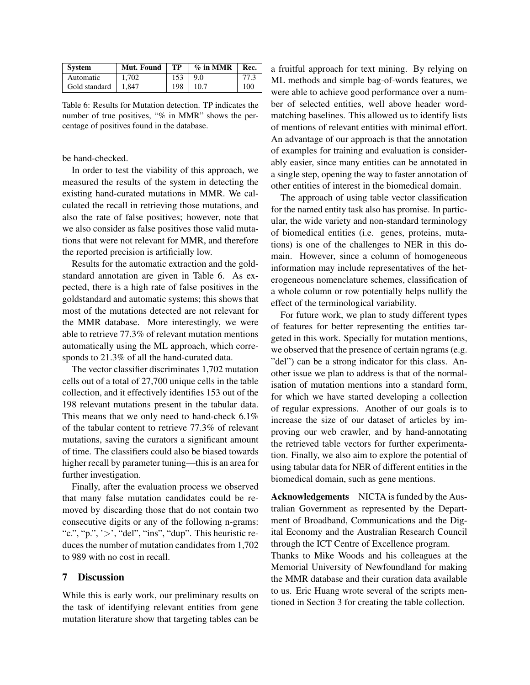| System                      | Mut. Found | TP  | $\%$ in MMR  | Rec. |
|-----------------------------|------------|-----|--------------|------|
| Automatic                   | 1,702      | 153 | 9.0          | 77.3 |
| Gold standard $\vert$ 1.847 |            |     | $198$   10.7 | 100  |

Table 6: Results for Mutation detection. TP indicates the number of true positives, "% in MMR" shows the percentage of positives found in the database.

#### be hand-checked.

In order to test the viability of this approach, we measured the results of the system in detecting the existing hand-curated mutations in MMR. We calculated the recall in retrieving those mutations, and also the rate of false positives; however, note that we also consider as false positives those valid mutations that were not relevant for MMR, and therefore the reported precision is artificially low.

Results for the automatic extraction and the goldstandard annotation are given in Table 6. As expected, there is a high rate of false positives in the goldstandard and automatic systems; this shows that most of the mutations detected are not relevant for the MMR database. More interestingly, we were able to retrieve 77.3% of relevant mutation mentions automatically using the ML approach, which corresponds to 21.3% of all the hand-curated data.

The vector classifier discriminates 1,702 mutation cells out of a total of 27,700 unique cells in the table collection, and it effectively identifies 153 out of the 198 relevant mutations present in the tabular data. This means that we only need to hand-check 6.1% of the tabular content to retrieve 77.3% of relevant mutations, saving the curators a significant amount of time. The classifiers could also be biased towards higher recall by parameter tuning—this is an area for further investigation.

Finally, after the evaluation process we observed that many false mutation candidates could be removed by discarding those that do not contain two consecutive digits or any of the following n-grams: "c.", "p.", ' $>$ ', "del", "ins", "dup". This heuristic reduces the number of mutation candidates from 1,702 to 989 with no cost in recall.

## 7 Discussion

While this is early work, our preliminary results on the task of identifying relevant entities from gene mutation literature show that targeting tables can be a fruitful approach for text mining. By relying on ML methods and simple bag-of-words features, we were able to achieve good performance over a number of selected entities, well above header wordmatching baselines. This allowed us to identify lists of mentions of relevant entities with minimal effort. An advantage of our approach is that the annotation of examples for training and evaluation is considerably easier, since many entities can be annotated in a single step, opening the way to faster annotation of other entities of interest in the biomedical domain.

The approach of using table vector classification for the named entity task also has promise. In particular, the wide variety and non-standard terminology of biomedical entities (i.e. genes, proteins, mutations) is one of the challenges to NER in this domain. However, since a column of homogeneous information may include representatives of the heterogeneous nomenclature schemes, classification of a whole column or row potentially helps nullify the effect of the terminological variability.

For future work, we plan to study different types of features for better representing the entities targeted in this work. Specially for mutation mentions, we observed that the presence of certain ngrams (e.g. "del") can be a strong indicator for this class. Another issue we plan to address is that of the normalisation of mutation mentions into a standard form, for which we have started developing a collection of regular expressions. Another of our goals is to increase the size of our dataset of articles by improving our web crawler, and by hand-annotating the retrieved table vectors for further experimentation. Finally, we also aim to explore the potential of using tabular data for NER of different entities in the biomedical domain, such as gene mentions.

Acknowledgements NICTA is funded by the Australian Government as represented by the Department of Broadband, Communications and the Digital Economy and the Australian Research Council through the ICT Centre of Excellence program.

Thanks to Mike Woods and his colleagues at the Memorial University of Newfoundland for making the MMR database and their curation data available to us. Eric Huang wrote several of the scripts mentioned in Section 3 for creating the table collection.